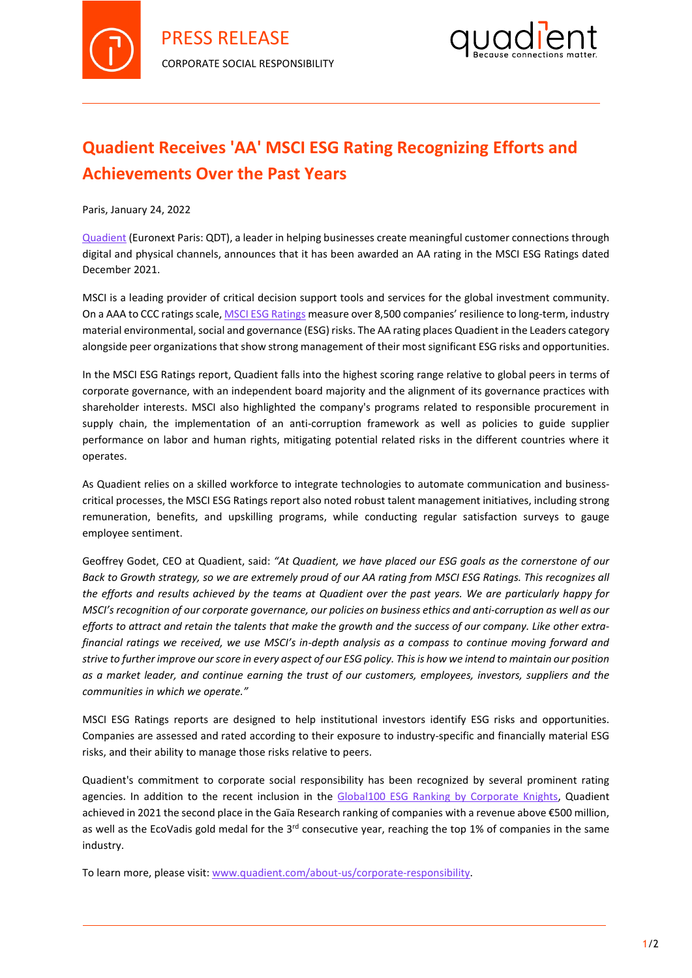



## **Quadient Receives 'AA' MSCI ESG Rating Recognizing Efforts and Achievements Over the Past Years**

Paris, January 24, 2022

[Quadient](http://www.quadient.com/) (Euronext Paris: QDT), a leader in helping businesses create meaningful customer connections through digital and physical channels, announces that it has been awarded an AA rating in the MSCI ESG Ratings dated December 2021.

MSCI is a leading provider of critical decision support tools and services for the global investment community. On a AAA to CCC ratings scale[, MSCI ESG Ratings](https://www.msci.com/our-solutions/esg-investing/esg-ratings) measure over 8,500 companies' resilience to long-term, industry material environmental, social and governance (ESG) risks. The AA rating places Quadient in the Leaders category alongside peer organizations that show strong management of their most significant ESG risks and opportunities.

In the MSCI ESG Ratings report, Quadient falls into the highest scoring range relative to global peers in terms of corporate governance, with an independent board majority and the alignment of its governance practices with shareholder interests. MSCI also highlighted the company's programs related to responsible procurement in supply chain, the implementation of an anti-corruption framework as well as policies to guide supplier performance on labor and human rights, mitigating potential related risks in the different countries where it operates.

As Quadient relies on a skilled workforce to integrate technologies to automate communication and businesscritical processes, the MSCI ESG Ratings report also noted robust talent management initiatives, including strong remuneration, benefits, and upskilling programs, while conducting regular satisfaction surveys to gauge employee sentiment.

Geoffrey Godet, CEO at Quadient, said: *"At Quadient, we have placed our ESG goals as the cornerstone of our Back to Growth strategy, so we are extremely proud of our AA rating from MSCI ESG Ratings. This recognizes all the efforts and results achieved by the teams at Quadient over the past years. We are particularly happy for MSCI's recognition of our corporate governance, our policies on business ethics and anti-corruption as well as our efforts to attract and retain the talents that make the growth and the success of our company. Like other extrafinancial ratings we received, we use MSCI's in-depth analysis as a compass to continue moving forward and strive to further improve our score in every aspect of our ESG policy. This is how we intend to maintain our position as a market leader, and continue earning the trust of our customers, employees, investors, suppliers and the communities in which we operate."*

MSCI ESG Ratings reports are designed to help institutional investors identify ESG risks and opportunities. Companies are assessed and rated according to their exposure to industry-specific and financially material ESG risks, and their ability to manage those risks relative to peers.

Quadient's commitment to corporate social responsibility has been recognized by several prominent rating agencies. In addition to the recent inclusion in the [Global100 ESG Ranking by Corporate Knights,](https://www.quadient.com/news/Quadient_Among_Global_100_Most_Sustainable_Companies_Corporate_Knights) Quadient achieved in 2021 the second place in the Gaïa Research ranking of companies with a revenue above €500 million, as well as the EcoVadis gold medal for the  $3^{rd}$  consecutive year, reaching the top 1% of companies in the same industry.

To learn more, please visit[: www.quadient.com/about-us/corporate-responsibility.](http://www.quadient.com/about-us/corporate-responsibility)